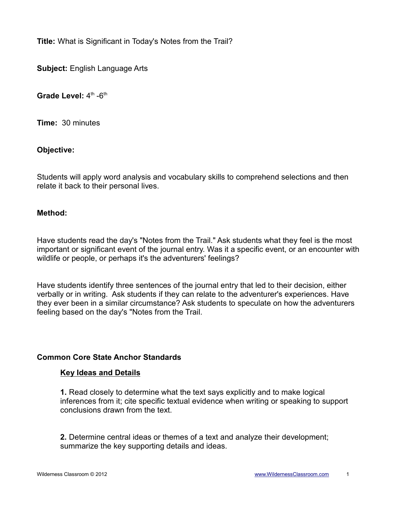**Title:** What is Significant in Today's Notes from the Trail?

**Subject:** English Language Arts

**Grade Level:** 4<sup>th</sup> -6<sup>th</sup>

**Time:** 30 minutes

**Objective:**

Students will apply word analysis and vocabulary skills to comprehend selections and then relate it back to their personal lives.

## **Method:**

Have students read the day's "Notes from the Trail." Ask students what they feel is the most important or significant event of the journal entry. Was it a specific event, or an encounter with wildlife or people, or perhaps it's the adventurers' feelings?

Have students identify three sentences of the journal entry that led to their decision, either verbally or in writing. Ask students if they can relate to the adventurer's experiences. Have they ever been in a similar circumstance? Ask students to speculate on how the adventurers feeling based on the day's "Notes from the Trail.

# **Common Core State Anchor Standards**

### **Key Ideas and Details**

**1.** Read closely to determine what the text says explicitly and to make logical inferences from it; cite specific textual evidence when writing or speaking to support conclusions drawn from the text.

**2.** Determine central ideas or themes of a text and analyze their development; summarize the key supporting details and ideas.